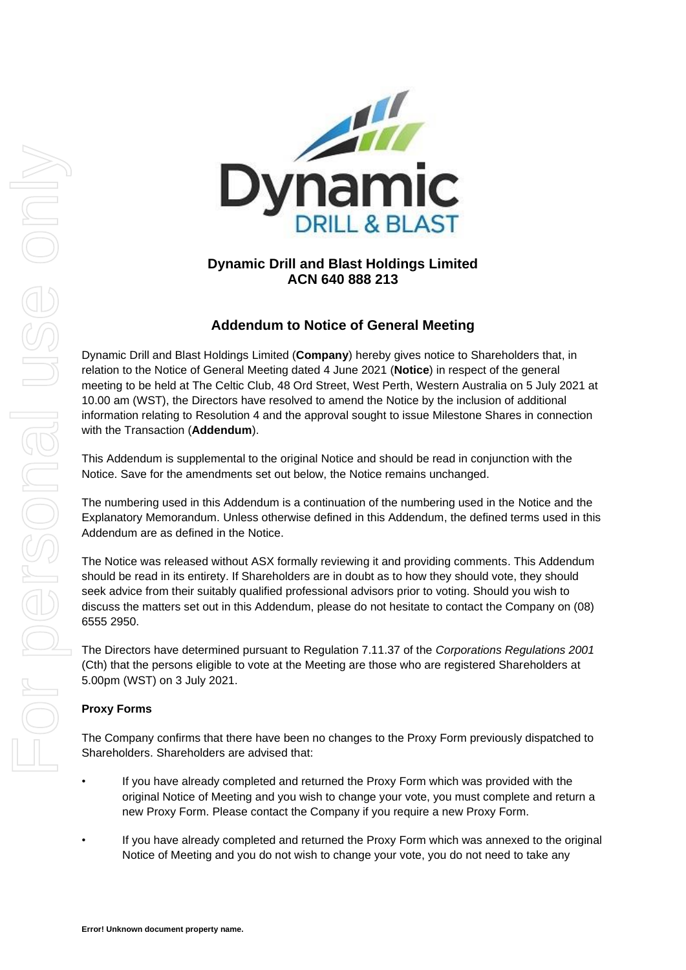

## **Dynamic Drill and Blast Holdings Limited ACN 640 888 213**

# **Addendum to Notice of General Meeting**

Dynamic Drill and Blast Holdings Limited (**Company**) hereby gives notice to Shareholders that, in relation to the Notice of General Meeting dated 4 June 2021 (**Notice**) in respect of the general meeting to be held at The Celtic Club, 48 Ord Street, West Perth, Western Australia on 5 July 2021 at 10.00 am (WST), the Directors have resolved to amend the Notice by the inclusion of additional information relating to Resolution 4 and the approval sought to issue Milestone Shares in connection with the Transaction (**Addendum**).

This Addendum is supplemental to the original Notice and should be read in conjunction with the Notice. Save for the amendments set out below, the Notice remains unchanged.

The numbering used in this Addendum is a continuation of the numbering used in the Notice and the Explanatory Memorandum. Unless otherwise defined in this Addendum, the defined terms used in this Addendum are as defined in the Notice.

The Notice was released without ASX formally reviewing it and providing comments. This Addendum should be read in its entirety. If Shareholders are in doubt as to how they should vote, they should seek advice from their suitably qualified professional advisors prior to voting. Should you wish to discuss the matters set out in this Addendum, please do not hesitate to contact the Company on (08) 6555 2950.

The Directors have determined pursuant to Regulation 7.11.37 of the *Corporations Regulations 2001* (Cth) that the persons eligible to vote at the Meeting are those who are registered Shareholders at 5.00pm (WST) on 3 July 2021.

### **Proxy Forms**

The Company confirms that there have been no changes to the Proxy Form previously dispatched to Shareholders. Shareholders are advised that:

- If you have already completed and returned the Proxy Form which was provided with the original Notice of Meeting and you wish to change your vote, you must complete and return a new Proxy Form. Please contact the Company if you require a new Proxy Form.
- If you have already completed and returned the Proxy Form which was annexed to the original Notice of Meeting and you do not wish to change your vote, you do not need to take any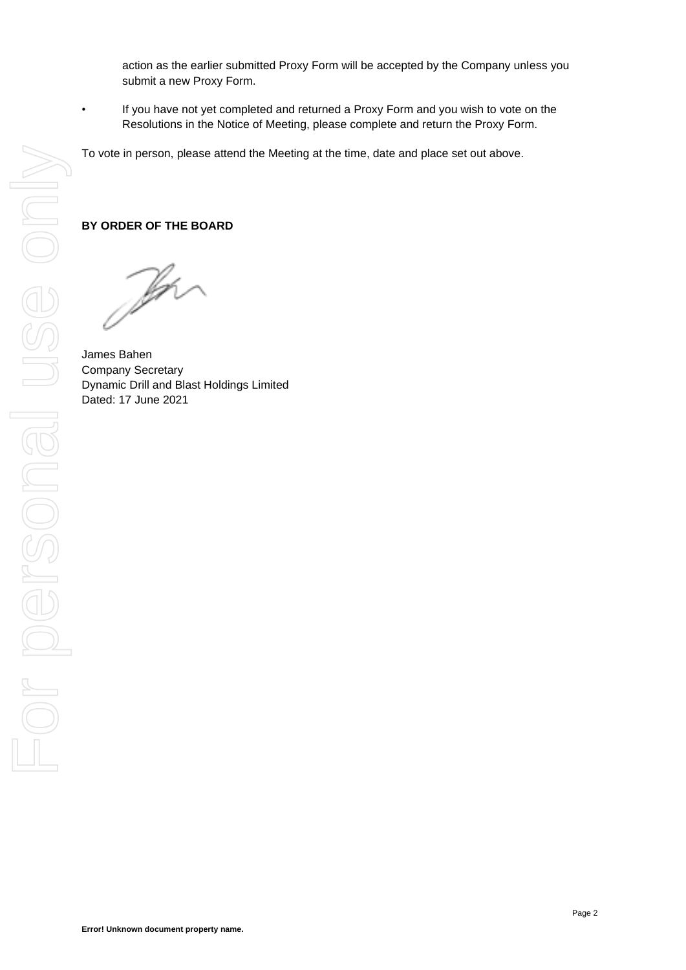action as the earlier submitted Proxy Form will be accepted by the Company unless you submit a new Proxy Form.

• If you have not yet completed and returned a Proxy Form and you wish to vote on the Resolutions in the Notice of Meeting, please complete and return the Proxy Form.

To vote in person, please attend the Meeting at the time, date and place set out above.

### **BY ORDER OF THE BOARD**

The

James Bahen Company Secretary Dynamic Drill and Blast Holdings Limited Dated: 17 June 2021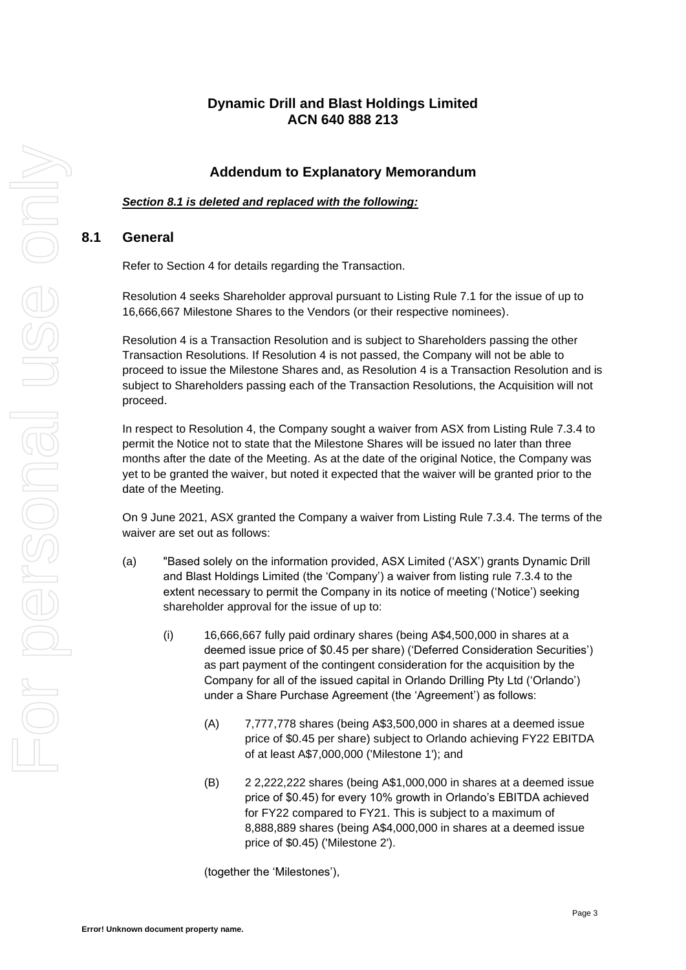## **Dynamic Drill and Blast Holdings Limited ACN 640 888 213**

## **Addendum to Explanatory Memorandum**

*Section 8.1 is deleted and replaced with the following:*

### **8.1 General**

Refer to Section 4 for details regarding the Transaction.

Resolution 4 seeks Shareholder approval pursuant to Listing Rule 7.1 for the issue of up to 16,666,667 Milestone Shares to the Vendors (or their respective nominees).

Resolution 4 is a Transaction Resolution and is subject to Shareholders passing the other Transaction Resolutions. If Resolution 4 is not passed, the Company will not be able to proceed to issue the Milestone Shares and, as Resolution 4 is a Transaction Resolution and is subject to Shareholders passing each of the Transaction Resolutions, the Acquisition will not proceed.

In respect to Resolution 4, the Company sought a waiver from ASX from Listing Rule 7.3.4 to permit the Notice not to state that the Milestone Shares will be issued no later than three months after the date of the Meeting. As at the date of the original Notice, the Company was yet to be granted the waiver, but noted it expected that the waiver will be granted prior to the date of the Meeting.

On 9 June 2021, ASX granted the Company a waiver from Listing Rule 7.3.4. The terms of the waiver are set out as follows:

- (a) "Based solely on the information provided, ASX Limited ('ASX') grants Dynamic Drill and Blast Holdings Limited (the 'Company') a waiver from listing rule 7.3.4 to the extent necessary to permit the Company in its notice of meeting ('Notice') seeking shareholder approval for the issue of up to:
	- (i) 16,666,667 fully paid ordinary shares (being A\$4,500,000 in shares at a deemed issue price of \$0.45 per share) ('Deferred Consideration Securities') as part payment of the contingent consideration for the acquisition by the Company for all of the issued capital in Orlando Drilling Pty Ltd ('Orlando') under a Share Purchase Agreement (the 'Agreement') as follows:
		- (A) 7,777,778 shares (being A\$3,500,000 in shares at a deemed issue price of \$0.45 per share) subject to Orlando achieving FY22 EBITDA of at least A\$7,000,000 ('Milestone 1'); and
		- (B) 2 2,222,222 shares (being A\$1,000,000 in shares at a deemed issue price of \$0.45) for every 10% growth in Orlando's EBITDA achieved for FY22 compared to FY21. This is subject to a maximum of 8,888,889 shares (being A\$4,000,000 in shares at a deemed issue price of \$0.45) ('Milestone 2').

(together the 'Milestones'),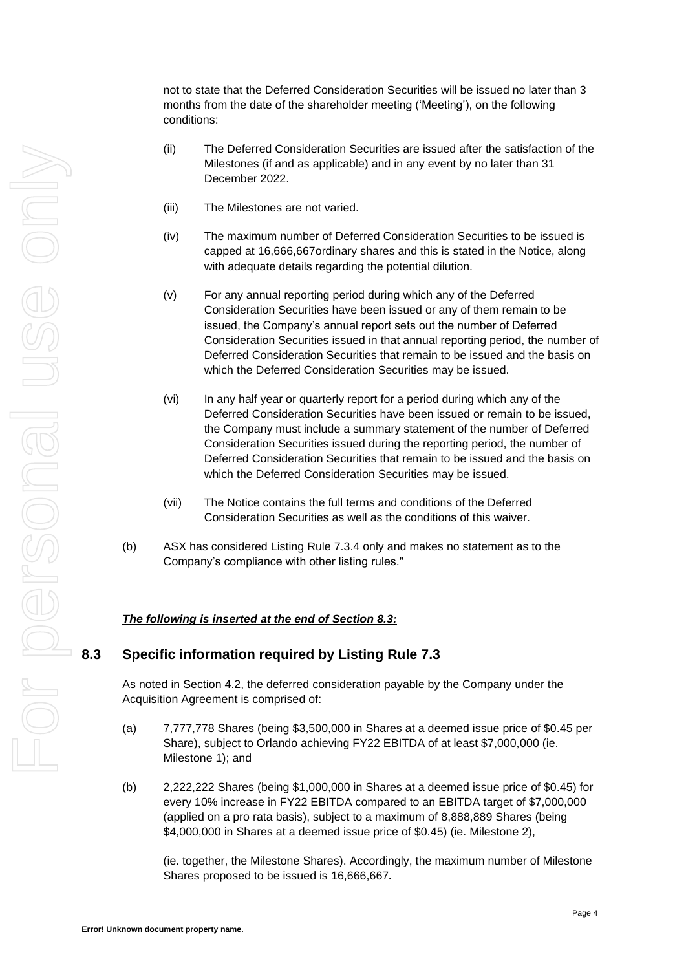(ii) The Deferred Consideration Securities are issued after the satisfaction of the Milestones (if and as applicable) and in any event by no later than 31 December 2022. (iii) The Milestones are not varied. (iv) The maximum number of Deferred Consideration Securities to be issued is capped at 16,666,667ordinary shares and this is stated in the Notice, along with adequate details regarding the potential dilution. (v) For any annual reporting period during which any of the Deferred Consideration Securities have been issued or any of them remain to be issued, the Company's annual report sets out the number of Deferred Consideration Securities issued in that annual reporting period, the number of Deferred Consideration Securities that remain to be issued and the basis on which the Deferred Consideration Securities may be issued. (vi) In any half year or quarterly report for a period during which any of the Deferred Consideration Securities have been issued or remain to be issued, the Company must include a summary statement of the number of Deferred Consideration Securities issued during the reporting period, the number of Deferred Consideration Securities that remain to be issued and the basis on

conditions:

(vii) The Notice contains the full terms and conditions of the Deferred Consideration Securities as well as the conditions of this waiver.

which the Deferred Consideration Securities may be issued.

not to state that the Deferred Consideration Securities will be issued no later than 3 months from the date of the shareholder meeting ('Meeting'), on the following

(b) ASX has considered Listing Rule 7.3.4 only and makes no statement as to the Company's compliance with other listing rules."

### *The following is inserted at the end of Section 8.3:*

# **8.3 Specific information required by Listing Rule 7.3**

As noted in Section 4.2, the deferred consideration payable by the Company under the Acquisition Agreement is comprised of:

- (a) 7,777,778 Shares (being \$3,500,000 in Shares at a deemed issue price of \$0.45 per Share), subject to Orlando achieving FY22 EBITDA of at least \$7,000,000 (ie. Milestone 1); and
- (b) 2,222,222 Shares (being \$1,000,000 in Shares at a deemed issue price of \$0.45) for every 10% increase in FY22 EBITDA compared to an EBITDA target of \$7,000,000 (applied on a pro rata basis), subject to a maximum of 8,888,889 Shares (being \$4,000,000 in Shares at a deemed issue price of \$0.45) (ie. Milestone 2),

(ie. together, the Milestone Shares). Accordingly, the maximum number of Milestone Shares proposed to be issued is 16,666,667**.**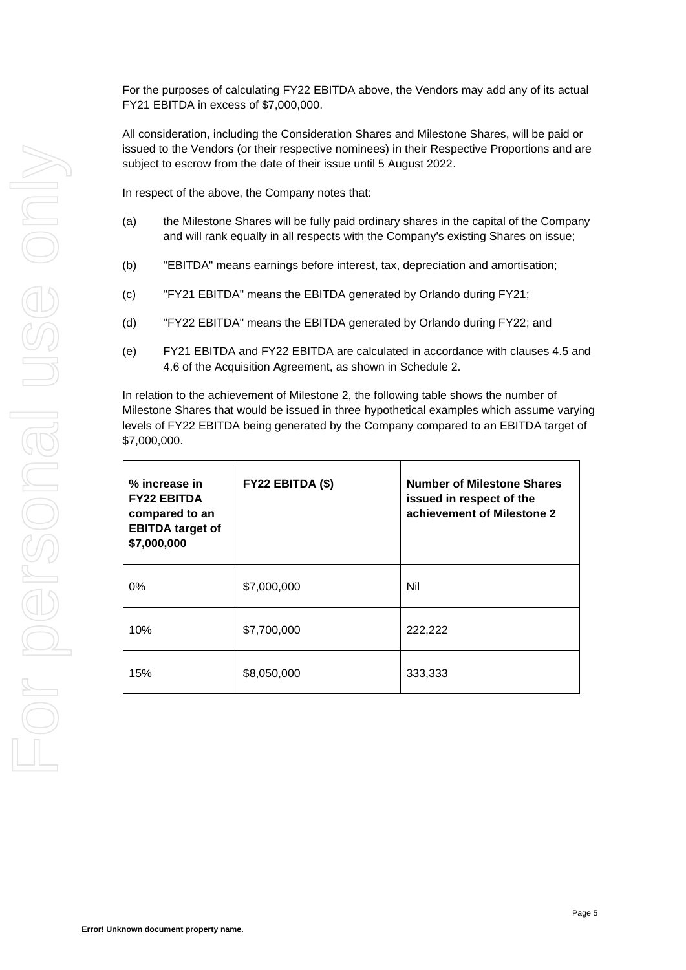For the purposes of calculating FY22 EBITDA above, the Vendors may add any of its actual FY21 EBITDA in excess of \$7,000,000.

All consideration, including the Consideration Shares and Milestone Shares, will be paid or issued to the Vendors (or their respective nominees) in their Respective Proportions and are subject to escrow from the date of their issue until 5 August 2022.

In respect of the above, the Company notes that:

- (a) the Milestone Shares will be fully paid ordinary shares in the capital of the Company and will rank equally in all respects with the Company's existing Shares on issue;
- (b) "EBITDA" means earnings before interest, tax, depreciation and amortisation;
- (c) "FY21 EBITDA" means the EBITDA generated by Orlando during FY21;
- (d) "FY22 EBITDA" means the EBITDA generated by Orlando during FY22; and
- (e) FY21 EBITDA and FY22 EBITDA are calculated in accordance with clauses 4.5 and 4.6 of the Acquisition Agreement, as shown in Schedule 2.

In relation to the achievement of Milestone 2, the following table shows the number of Milestone Shares that would be issued in three hypothetical examples which assume varying levels of FY22 EBITDA being generated by the Company compared to an EBITDA target of \$7,000,000.

| % increase in<br><b>FY22 EBITDA</b><br>compared to an<br><b>EBITDA</b> target of<br>\$7,000,000 | FY22 EBITDA (\$) | <b>Number of Milestone Shares</b><br>issued in respect of the<br>achievement of Milestone 2 |
|-------------------------------------------------------------------------------------------------|------------------|---------------------------------------------------------------------------------------------|
| $0\%$                                                                                           | \$7,000,000      | Nil                                                                                         |
| 10%                                                                                             | \$7,700,000      | 222,222                                                                                     |
| 15%                                                                                             | \$8,050,000      | 333,333                                                                                     |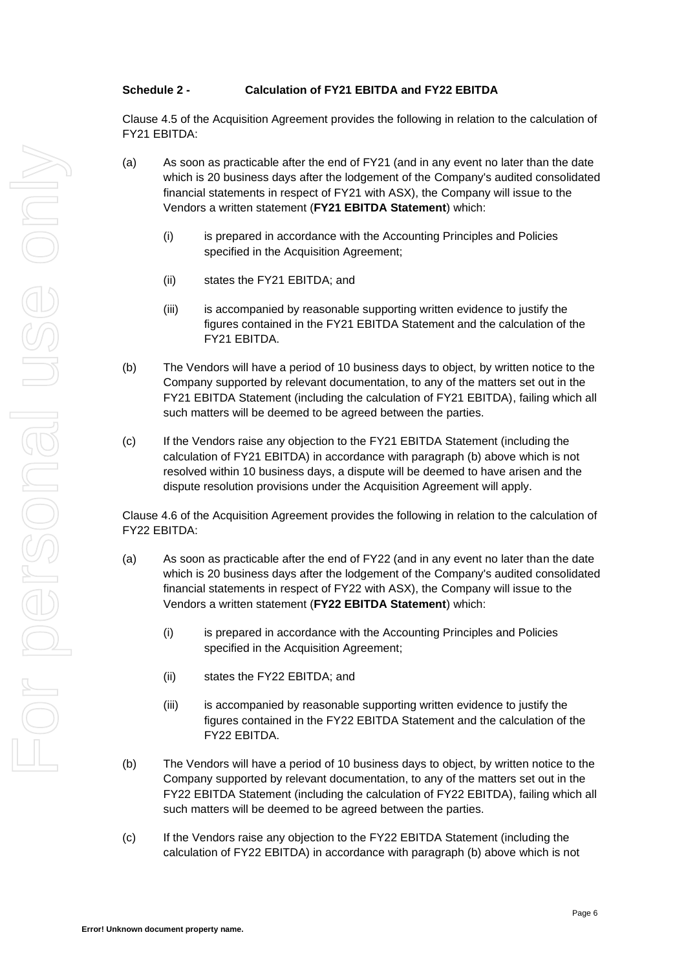#### **Schedule 2 - Calculation of FY21 EBITDA and FY22 EBITDA**

Clause 4.5 of the Acquisition Agreement provides the following in relation to the calculation of FY21 EBITDA:

- (a) As soon as practicable after the end of FY21 (and in any event no later than the date which is 20 business days after the lodgement of the Company's audited consolidated financial statements in respect of FY21 with ASX), the Company will issue to the Vendors a written statement (**FY21 EBITDA Statement**) which:
	- (i) is prepared in accordance with the Accounting Principles and Policies specified in the Acquisition Agreement;
	- (ii) states the FY21 EBITDA; and
	- (iii) is accompanied by reasonable supporting written evidence to justify the figures contained in the FY21 EBITDA Statement and the calculation of the FY21 EBITDA.
- (b) The Vendors will have a period of 10 business days to object, by written notice to the Company supported by relevant documentation, to any of the matters set out in the FY21 EBITDA Statement (including the calculation of FY21 EBITDA), failing which all such matters will be deemed to be agreed between the parties.
- (c) If the Vendors raise any objection to the FY21 EBITDA Statement (including the calculation of FY21 EBITDA) in accordance with paragraph (b) above which is not resolved within 10 business days, a dispute will be deemed to have arisen and the dispute resolution provisions under the Acquisition Agreement will apply.

Clause 4.6 of the Acquisition Agreement provides the following in relation to the calculation of FY22 EBITDA:

- (a) As soon as practicable after the end of FY22 (and in any event no later than the date which is 20 business days after the lodgement of the Company's audited consolidated financial statements in respect of FY22 with ASX), the Company will issue to the Vendors a written statement (**FY22 EBITDA Statement**) which:
	- (i) is prepared in accordance with the Accounting Principles and Policies specified in the Acquisition Agreement;
	- (ii) states the FY22 EBITDA; and
	- (iii) is accompanied by reasonable supporting written evidence to justify the figures contained in the FY22 EBITDA Statement and the calculation of the FY22 EBITDA.
- (b) The Vendors will have a period of 10 business days to object, by written notice to the Company supported by relevant documentation, to any of the matters set out in the FY22 EBITDA Statement (including the calculation of FY22 EBITDA), failing which all such matters will be deemed to be agreed between the parties.
- (c) If the Vendors raise any objection to the FY22 EBITDA Statement (including the calculation of FY22 EBITDA) in accordance with paragraph (b) above which is not